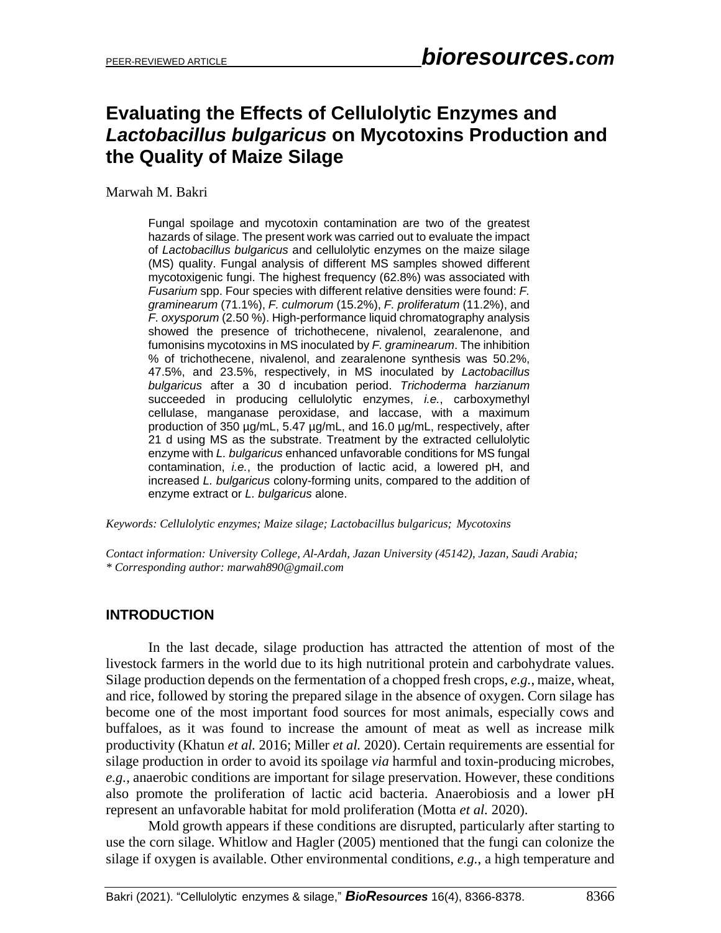# **Evaluating the Effects of Cellulolytic Enzymes and**  *Lactobacillus bulgaricus* **on Mycotoxins Production and the Quality of Maize Silage**

Marwah M. Bakri

Fungal spoilage and mycotoxin contamination are two of the greatest hazards of silage. The present work was carried out to evaluate the impact of *Lactobacillus bulgaricus* and cellulolytic enzymes on the maize silage (MS) quality. Fungal analysis of different MS samples showed different mycotoxigenic fungi. The highest frequency (62.8%) was associated with *Fusarium* spp. Four species with different relative densities were found: *F. graminearum* (71.1%), *F. culmorum* (15.2%), *F. proliferatum* (11.2%), and *F. oxysporum* (2.50 %). High-performance liquid chromatography analysis showed the presence of trichothecene, nivalenol, zearalenone, and fumonisins mycotoxins in MS inoculated by *F. graminearum*. The inhibition % of trichothecene, nivalenol, and zearalenone synthesis was 50.2%, 47.5%, and 23.5%, respectively, in MS inoculated by *Lactobacillus bulgaricus* after a 30 d incubation period. *Trichoderma harzianum* succeeded in producing cellulolytic enzymes, *i.e.*, carboxymethyl cellulase, manganase peroxidase, and laccase, with a maximum production of 350 µg/mL, 5.47 µg/mL, and 16.0 µg/mL, respectively, after 21 d using MS as the substrate. Treatment by the extracted cellulolytic enzyme with *L. bulgaricus* enhanced unfavorable conditions for MS fungal contamination, *i.e.*, the production of lactic acid, a lowered pH, and increased *L. bulgaricus* colony-forming units, compared to the addition of enzyme extract or *L. bulgaricus* alone.

*Keywords: Cellulolytic enzymes; Maize silage; Lactobacillus bulgaricus; Mycotoxins*

*Contact information: University College, Al-Ardah, Jazan University (45142), Jazan, Saudi Arabia; \* Corresponding author: marwah890@gmail.com*

#### **INTRODUCTION**

In the last decade, silage production has attracted the attention of most of the livestock farmers in the world due to its high nutritional protein and carbohydrate values. Silage production depends on the fermentation of a chopped fresh crops, *e.g.*, maize, wheat, and rice, followed by storing the prepared silage in the absence of oxygen. Corn silage has become one of the most important food sources for most animals, especially cows and buffaloes, as it was found to increase the amount of meat as well as increase milk productivity (Khatun *et al.* 2016; Miller *et al.* 2020). Certain requirements are essential for silage production in order to avoid its spoilage *via* harmful and toxin-producing microbes, *e.g.*, anaerobic conditions are important for silage preservation. However, these conditions also promote the proliferation of lactic acid bacteria. Anaerobiosis and a lower pH represent an unfavorable habitat for mold proliferation (Motta *et al.* 2020).

Mold growth appears if these conditions are disrupted, particularly after starting to use the corn silage. Whitlow and Hagler (2005) mentioned that the fungi can colonize the silage if oxygen is available. Other environmental conditions, *e.g.*, a high temperature and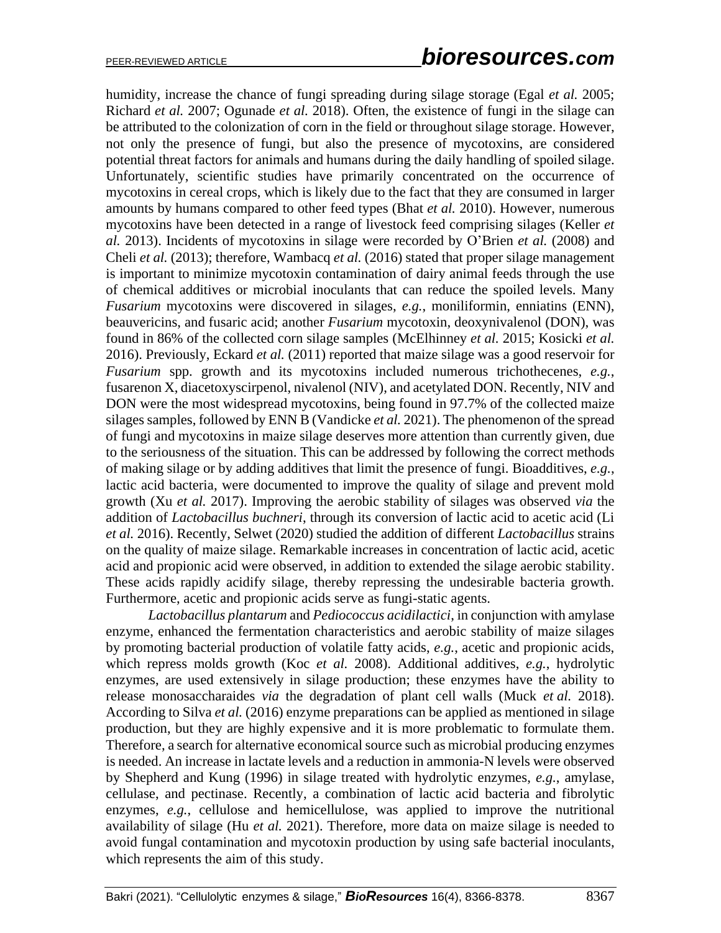humidity, increase the chance of fungi spreading during silage storage (Egal *et al.* 2005; Richard *et al.* 2007; Ogunade *et al.* 2018). Often, the existence of fungi in the silage can be attributed to the colonization of corn in the field or throughout silage storage. However, not only the presence of fungi, but also the presence of mycotoxins, are considered potential threat factors for animals and humans during the daily handling of spoiled silage. Unfortunately, scientific studies have primarily concentrated on the occurrence of mycotoxins in cereal crops, which is likely due to the fact that they are consumed in larger amounts by humans compared to other feed types (Bhat *et al.* 2010). However, numerous mycotoxins have been detected in a range of livestock feed comprising silages (Keller *et al.* 2013). Incidents of mycotoxins in silage were recorded by O'Brien *et al.* (2008) and Cheli *et al.* (2013); therefore, Wambacq *et al.* (2016) stated that proper silage management is important to minimize mycotoxin contamination of dairy animal feeds through the use of chemical additives or microbial inoculants that can reduce the spoiled levels. Many *Fusarium* mycotoxins were discovered in silages, *e.g.*, moniliformin, enniatins (ENN), beauvericins, and fusaric acid; another *Fusarium* mycotoxin, deoxynivalenol (DON), was found in 86% of the collected corn silage samples (McElhinney *et al.* 2015; Kosicki *et al.* 2016). Previously, Eckard *et al.* (2011) reported that maize silage was a good reservoir for *Fusarium* spp. growth and its mycotoxins included numerous trichothecenes, *e.g.*, fusarenon X, diacetoxyscirpenol, nivalenol (NIV), and acetylated DON. Recently, NIV and DON were the most widespread mycotoxins, being found in 97.7% of the collected maize silages samples, followed by ENN B (Vandicke *et al.* 2021). The phenomenon of the spread of fungi and mycotoxins in maize silage deserves more attention than currently given, due to the seriousness of the situation. This can be addressed by following the correct methods of making silage or by adding additives that limit the presence of fungi. Bioadditives, *e.g.*, lactic acid bacteria, were documented to improve the quality of silage and prevent mold growth (Xu *et al.* 2017). Improving the aerobic stability of silages was observed *via* the addition of *Lactobacillus buchneri*, through its conversion of lactic acid to acetic acid (Li *et al.* 2016). Recently, Selwet (2020) studied the addition of different *Lactobacillus* strains on the quality of maize silage. Remarkable increases in concentration of lactic acid, acetic acid and propionic acid were observed, in addition to extended the silage aerobic stability. These acids rapidly acidify silage, thereby repressing the undesirable bacteria growth. Furthermore, acetic and propionic acids serve as fungi-static agents.

*Lactobacillus plantarum* and *Pediococcus acidilactici*, in conjunction with amylase enzyme, enhanced the fermentation characteristics and aerobic stability of maize silages by promoting bacterial production of volatile fatty acids, *e.g.*, acetic and propionic acids, which repress molds growth (Koc *et al.* 2008). Additional additives, *e.g.*, hydrolytic enzymes, are used extensively in silage production; these enzymes have the ability to release monosaccharaides *via* the degradation of plant cell walls (Muck *et al.* 2018). According to Silva *et al.* (2016) enzyme preparations can be applied as mentioned in silage production, but they are highly expensive and it is more problematic to formulate them. Therefore, a search for alternative economical source such as microbial producing enzymes is needed. An increase in lactate levels and a reduction in ammonia-N levels were observed by Shepherd and Kung (1996) in silage treated with hydrolytic enzymes, *e.g.*, amylase, cellulase, and pectinase. Recently, a combination of lactic acid bacteria and fibrolytic enzymes, *e.g.*, cellulose and hemicellulose, was applied to improve the nutritional availability of silage (Hu *et al.* 2021). Therefore, more data on maize silage is needed to avoid fungal contamination and mycotoxin production by using safe bacterial inoculants, which represents the aim of this study.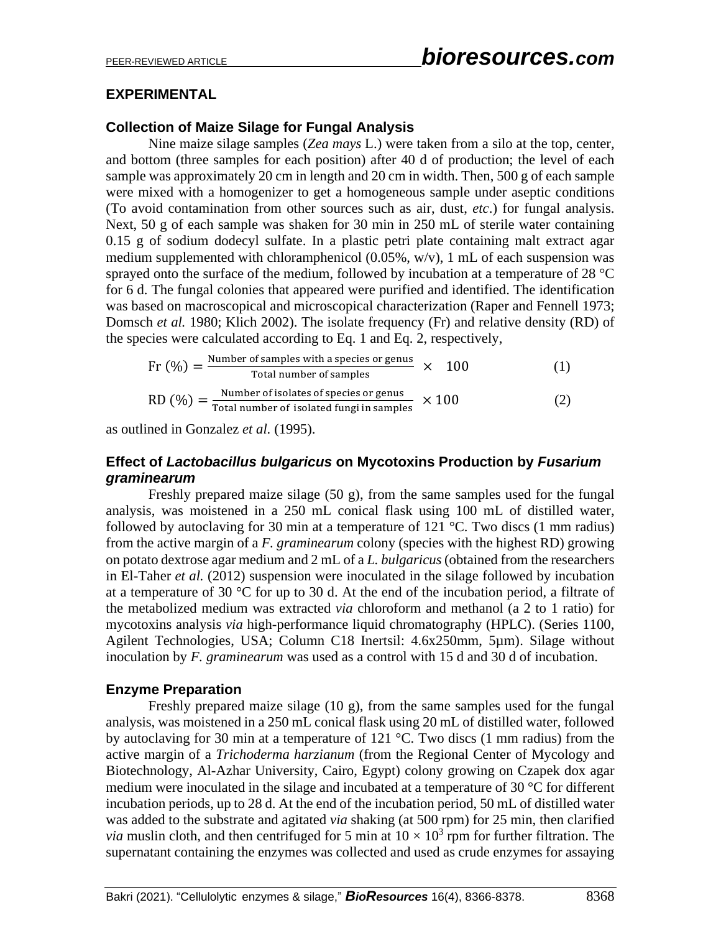#### **EXPERIMENTAL**

#### **Collection of Maize Silage for Fungal Analysis**

Nine maize silage samples (*Zea mays* L.) were taken from a silo at the top, center, and bottom (three samples for each position) after 40 d of production; the level of each sample was approximately 20 cm in length and 20 cm in width. Then, 500 g of each sample were mixed with a homogenizer to get a homogeneous sample under aseptic conditions (To avoid contamination from other sources such as air, dust, *etc*.) for fungal analysis. Next, 50 g of each sample was shaken for 30 min in 250 mL of sterile water containing 0.15 g of sodium dodecyl sulfate. In a plastic petri plate containing malt extract agar medium supplemented with chloramphenicol  $(0.05\%, w/v)$ , 1 mL of each suspension was sprayed onto the surface of the medium, followed by incubation at a temperature of 28  $^{\circ}$ C for 6 d. The fungal colonies that appeared were purified and identified. The identification was based on macroscopical and microscopical characterization (Raper and Fennell 1973; Domsch *et al.* 1980; Klich 2002). The isolate frequency (Fr) and relative density (RD) of the species were calculated according to Eq. 1 and Eq. 2, respectively,

$$
Fr (%) = \frac{Number of samples with a species or genus}{Total number of samples} \times 100
$$
 (1)  
RD (%) = 
$$
\frac{Number of isolates of species or genus}{Total number of isolated fungi in samples} \times 100
$$
 (2)

as outlined in Gonzalez *et al.* (1995).

## **Effect of** *Lactobacillus bulgaricus* **on Mycotoxins Production by** *Fusarium graminearum*

Freshly prepared maize silage (50 g), from the same samples used for the fungal analysis, was moistened in a 250 mL conical flask using 100 mL of distilled water, followed by autoclaving for 30 min at a temperature of 121  $^{\circ}$ C. Two discs (1 mm radius) from the active margin of a *F. graminearum* colony (species with the highest RD) growing on potato dextrose agar medium and 2 mL of a *L. bulgaricus* (obtained from the researchers in El-Taher *et al.* (2012) suspension were inoculated in the silage followed by incubation at a temperature of 30 °C for up to 30 d. At the end of the incubation period, a filtrate of the metabolized medium was extracted *via* chloroform and methanol (a 2 to 1 ratio) for mycotoxins analysis *via* high-performance liquid chromatography (HPLC). (Series 1100, Agilent Technologies, USA; Column C18 Inertsil: 4.6x250mm, 5µm). Silage without inoculation by *F. graminearum* was used as a control with 15 d and 30 d of incubation.

## **Enzyme Preparation**

Freshly prepared maize silage (10 g), from the same samples used for the fungal analysis, was moistened in a 250 mL conical flask using 20 mL of distilled water, followed by autoclaving for 30 min at a temperature of 121 °C. Two discs (1 mm radius) from the active margin of a *Trichoderma harzianum* (from the Regional Center of Mycology and Biotechnology, Al-Azhar University, Cairo, Egypt) colony growing on Czapek dox agar medium were inoculated in the silage and incubated at a temperature of 30 °C for different incubation periods, up to 28 d. At the end of the incubation period, 50 mL of distilled water was added to the substrate and agitated *via* shaking (at 500 rpm) for 25 min, then clarified *via* muslin cloth, and then centrifuged for 5 min at  $10 \times 10^3$  rpm for further filtration. The supernatant containing the enzymes was collected and used as crude enzymes for assaying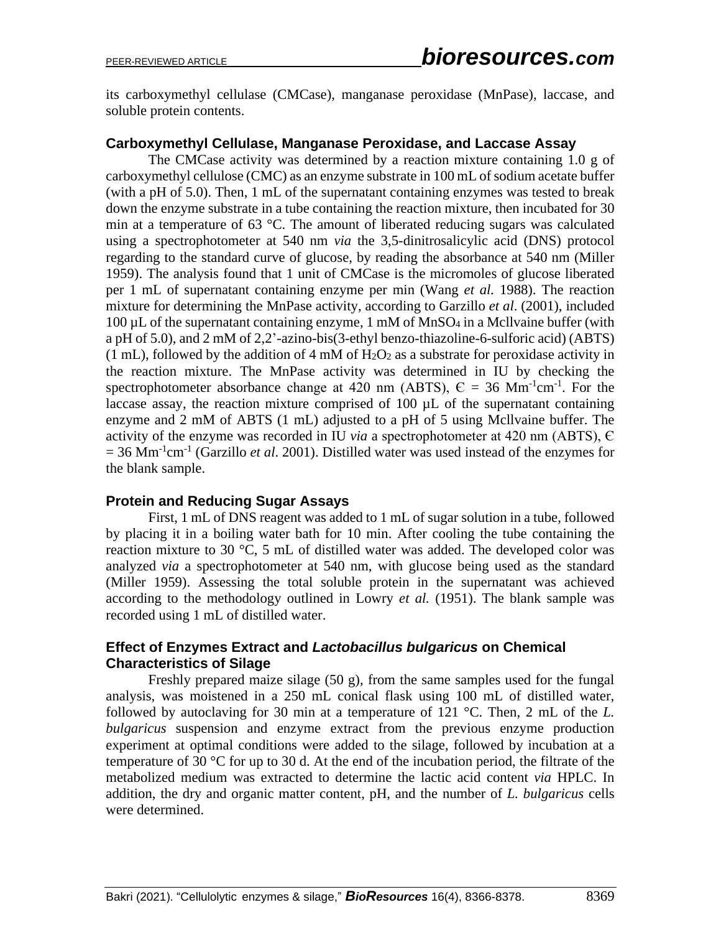its carboxymethyl cellulase (CMCase), manganase peroxidase (MnPase), laccase, and soluble protein contents.

#### **Carboxymethyl Cellulase, Manganase Peroxidase, and Laccase Assay**

The CMCase activity was determined by a reaction mixture containing 1.0 g of carboxymethyl cellulose (CMC) as an enzyme substrate in 100 mL of sodium acetate buffer (with a pH of 5.0). Then, 1 mL of the supernatant containing enzymes was tested to break down the enzyme substrate in a tube containing the reaction mixture, then incubated for 30 min at a temperature of 63 °C. The amount of liberated reducing sugars was calculated using a spectrophotometer at 540 nm *via* the 3,5-dinitrosalicylic acid (DNS) protocol regarding to the standard curve of glucose, by reading the absorbance at 540 nm (Miller 1959). The analysis found that 1 unit of CMCase is the micromoles of glucose liberated per 1 mL of supernatant containing enzyme per min (Wang *et al.* 1988). The reaction mixture for determining the MnPase activity, according to Garzillo *et al*. (2001), included  $100 \mu L$  of the supernatant containing enzyme, 1 mM of MnSO<sub>4</sub> in a Mcllvaine buffer (with a pH of 5.0), and 2 mM of 2,2'-azino-bis(3-ethyl benzo-thiazoline-6-sulforic acid) (ABTS)  $(1 \text{ mL})$ , followed by the addition of 4 mM of H<sub>2</sub>O<sub>2</sub> as a substrate for peroxidase activity in the reaction mixture. The MnPase activity was determined in IU by checking the spectrophotometer absorbance change at 420 nm (ABTS),  $\epsilon$  = 36 Mm<sup>-1</sup>cm<sup>-1</sup>. For the laccase assay, the reaction mixture comprised of  $100 \mu L$  of the supernatant containing enzyme and 2 mM of ABTS (1 mL) adjusted to a pH of 5 using Mcllvaine buffer. The activity of the enzyme was recorded in IU *via* a spectrophotometer at 420 nm (ABTS), Є = 36 Mm<sup>-1</sup>cm<sup>-1</sup> (Garzillo *et al.* 2001). Distilled water was used instead of the enzymes for the blank sample.

#### **Protein and Reducing Sugar Assays**

First, 1 mL of DNS reagent was added to 1 mL of sugar solution in a tube, followed by placing it in a boiling water bath for 10 min. After cooling the tube containing the reaction mixture to 30 °C, 5 mL of distilled water was added. The developed color was analyzed *via* a spectrophotometer at 540 nm, with glucose being used as the standard (Miller 1959). Assessing the total soluble protein in the supernatant was achieved according to the methodology outlined in Lowry *et al.* (1951). The blank sample was recorded using 1 mL of distilled water.

#### **Effect of Enzymes Extract and** *Lactobacillus bulgaricus* **on Chemical Characteristics of Silage**

Freshly prepared maize silage (50 g), from the same samples used for the fungal analysis, was moistened in a 250 mL conical flask using 100 mL of distilled water, followed by autoclaving for 30 min at a temperature of 121 °C. Then, 2 mL of the *L. bulgaricus* suspension and enzyme extract from the previous enzyme production experiment at optimal conditions were added to the silage, followed by incubation at a temperature of 30 °C for up to 30 d. At the end of the incubation period, the filtrate of the metabolized medium was extracted to determine the lactic acid content *via* HPLC. In addition, the dry and organic matter content, pH, and the number of *L. bulgaricus* cells were determined.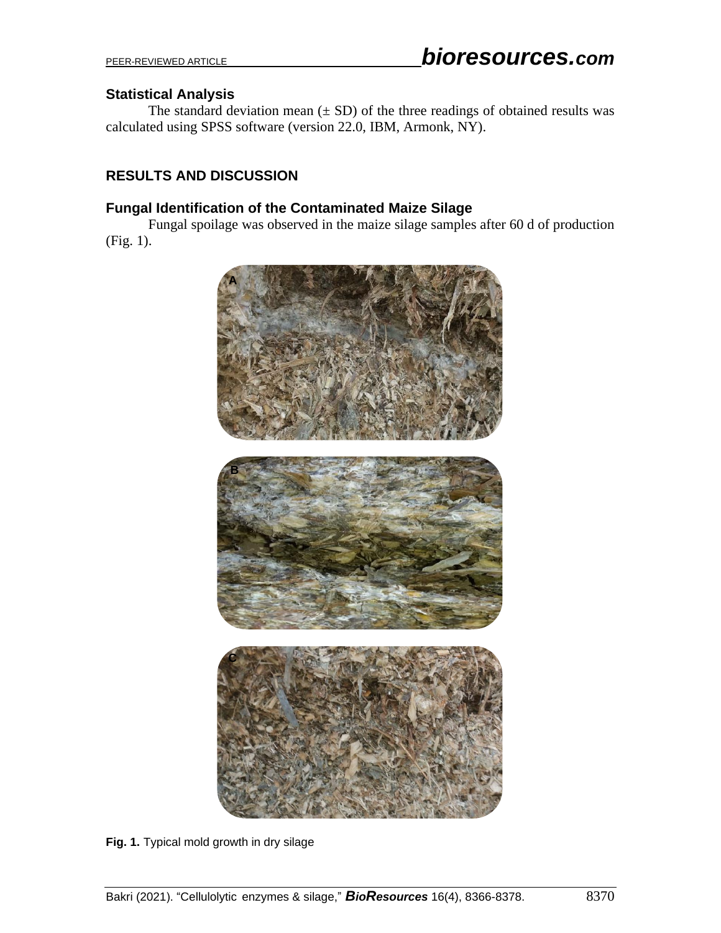#### **Statistical Analysis**

The standard deviation mean  $(\pm SD)$  of the three readings of obtained results was calculated using SPSS software (version 22.0, IBM, Armonk, NY).

## **RESULTS AND DISCUSSION**

#### **Fungal Identification of the Contaminated Maize Silage**

Fungal spoilage was observed in the maize silage samples after 60 d of production (Fig. 1).



**Fig. 1.** Typical mold growth in dry silage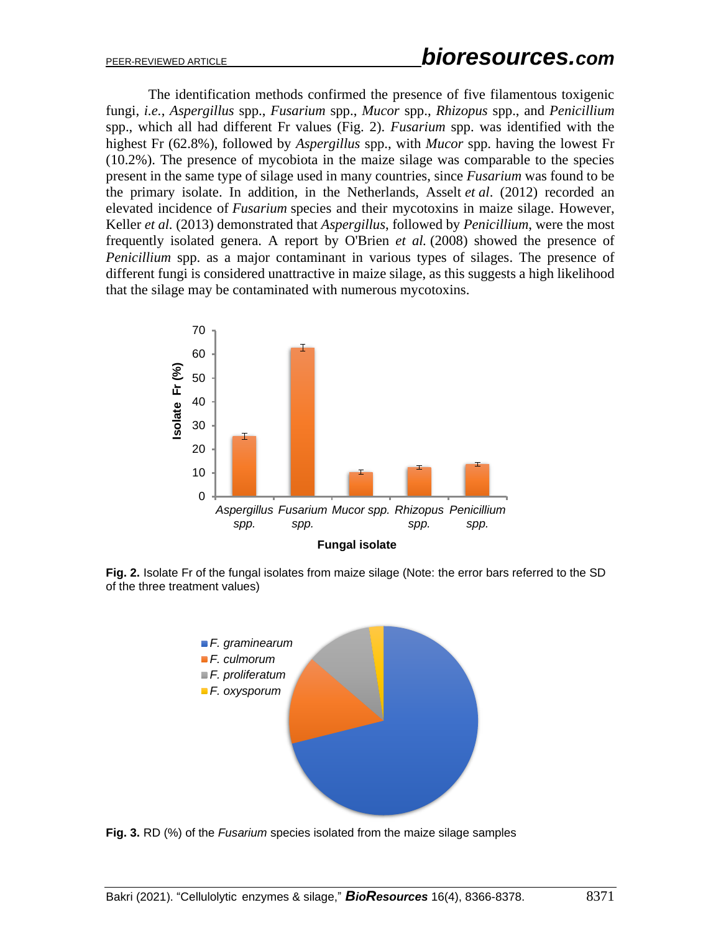The identification methods confirmed the presence of five filamentous toxigenic fungi, *i.e.*, *Aspergillus* spp., *Fusarium* spp., *Mucor* spp., *Rhizopus* spp., and *Penicillium* spp., which all had different Fr values (Fig. 2). *Fusarium* spp. was identified with the highest Fr (62.8%), followed by *Aspergillus* spp., with *Mucor* spp. having the lowest Fr (10.2%). The presence of mycobiota in the maize silage was comparable to the species present in the same type of silage used in many countries, since *Fusarium* was found to be the primary isolate. In addition, in the Netherlands, Asselt *et al*. (2012) recorded an elevated incidence of *Fusarium* species and their mycotoxins in maize silage. However, Keller *et al.* (2013) demonstrated that *Aspergillus*, followed by *Penicillium*, were the most frequently isolated genera. A report by O'Brien *et al.* (2008) showed the presence of *Penicillium* spp. as a major contaminant in various types of silages. The presence of different fungi is considered unattractive in maize silage, as this suggests a high likelihood that the silage may be contaminated with numerous mycotoxins.



**Fig. 2.** Isolate Fr of the fungal isolates from maize silage (Note: the error bars referred to the SD of the three treatment values)



**Fig. 3.** RD (%) of the *Fusarium* species isolated from the maize silage samples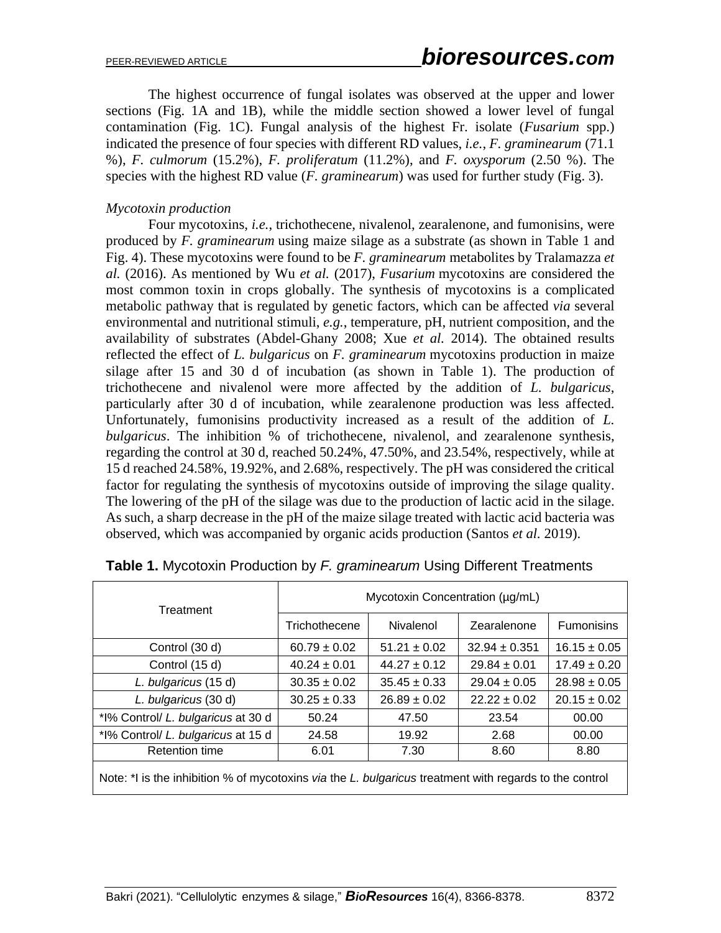The highest occurrence of fungal isolates was observed at the upper and lower sections (Fig. 1A and 1B), while the middle section showed a lower level of fungal contamination (Fig. 1C). Fungal analysis of the highest Fr. isolate (*Fusarium* spp.) indicated the presence of four species with different RD values, *i.e.*, *F. graminearum* (71.1 %), *F. culmorum* (15.2%), *F. proliferatum* (11.2%), and *F. oxysporum* (2.50 %). The species with the highest RD value (*F. graminearum*) was used for further study (Fig. 3).

#### *Mycotoxin production*

Four mycotoxins, *i.e.*, trichothecene, nivalenol, zearalenone, and fumonisins, were produced by *F. graminearum* using maize silage as a substrate (as shown in Table 1 and Fig. 4). These mycotoxins were found to be *F. graminearum* metabolites by Tralamazza *et al.* (2016). As mentioned by Wu *et al.* (2017), *Fusarium* mycotoxins are considered the most common toxin in crops globally. The synthesis of mycotoxins is a complicated metabolic pathway that is regulated by genetic factors, which can be affected *via* several environmental and nutritional stimuli, *e.g.*, temperature, pH, nutrient composition, and the availability of substrates (Abdel-Ghany 2008; Xue *et al.* 2014). The obtained results reflected the effect of *L. bulgaricus* on *F. graminearum* mycotoxins production in maize silage after 15 and 30 d of incubation (as shown in Table 1). The production of trichothecene and nivalenol were more affected by the addition of *L. bulgaricus*, particularly after 30 d of incubation, while zearalenone production was less affected. Unfortunately, fumonisins productivity increased as a result of the addition of *L. bulgaricus*. The inhibition % of trichothecene, nivalenol, and zearalenone synthesis, regarding the control at 30 d, reached 50.24%, 47.50%, and 23.54%, respectively, while at 15 d reached 24.58%, 19.92%, and 2.68%, respectively. The pH was considered the critical factor for regulating the synthesis of mycotoxins outside of improving the silage quality. The lowering of the pH of the silage was due to the production of lactic acid in the silage. As such, a sharp decrease in the pH of the maize silage treated with lactic acid bacteria was observed, which was accompanied by organic acids production (Santos *et al.* 2019).

| Treatment                                                                                              | Mycotoxin Concentration (µg/mL) |                  |                   |                   |  |  |
|--------------------------------------------------------------------------------------------------------|---------------------------------|------------------|-------------------|-------------------|--|--|
|                                                                                                        | Trichothecene                   | Nivalenol        | Zearalenone       | <b>Fumonisins</b> |  |  |
| Control (30 d)                                                                                         | $60.79 \pm 0.02$                | $51.21 \pm 0.02$ | $32.94 \pm 0.351$ | $16.15 \pm 0.05$  |  |  |
| Control (15 d)                                                                                         | $40.24 \pm 0.01$                | $44.27 \pm 0.12$ | $29.84 \pm 0.01$  | $17.49 \pm 0.20$  |  |  |
| L. bulgaricus (15 d)                                                                                   | $30.35 \pm 0.02$                | $35.45 \pm 0.33$ | $29.04 \pm 0.05$  | $28.98 \pm 0.05$  |  |  |
| L. bulgaricus (30 d)                                                                                   | $30.25 \pm 0.33$                | $26.89 \pm 0.02$ | $22.22 \pm 0.02$  | $20.15 \pm 0.02$  |  |  |
| *I% Control/ L. bulgaricus at 30 d                                                                     | 50.24                           | 47.50            | 23.54             | 00.00             |  |  |
| *I% Control/ L. bulgaricus at 15 d                                                                     | 24.58                           | 19.92            | 2.68              | 00.00             |  |  |
| <b>Retention time</b>                                                                                  | 6.01                            | 7.30             | 8.60              | 8.80              |  |  |
| Note: *I is the inhibition % of mycotoxins via the L. bulgaricus treatment with regards to the control |                                 |                  |                   |                   |  |  |

|  |  |  |  | Table 1. Mycotoxin Production by F. graminearum Using Different Treatments |  |  |  |
|--|--|--|--|----------------------------------------------------------------------------|--|--|--|
|--|--|--|--|----------------------------------------------------------------------------|--|--|--|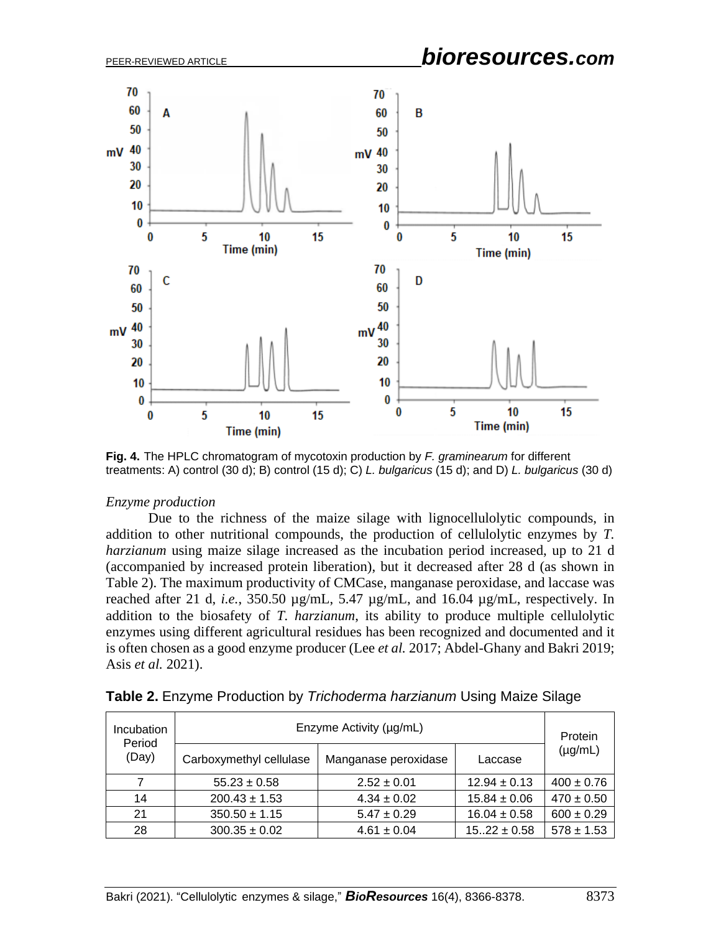

**Fig. 4.** The HPLC chromatogram of mycotoxin production by *F. graminearum* for different treatments: A) control (30 d); B) control (15 d); C) *L. bulgaricus* (15 d); and D) *L. bulgaricus* (30 d)

#### *Enzyme production*

Due to the richness of the maize silage with lignocellulolytic compounds, in addition to other nutritional compounds, the production of cellulolytic enzymes by *T. harzianum* using maize silage increased as the incubation period increased, up to 21 d (accompanied by increased protein liberation), but it decreased after 28 d (as shown in Table 2). The maximum productivity of CMCase, manganase peroxidase, and laccase was reached after 21 d, *i.e.*, 350.50 µg/mL, 5.47 µg/mL, and 16.04 µg/mL, respectively. In addition to the biosafety of *T. harzianum*, its ability to produce multiple cellulolytic enzymes using different agricultural residues has been recognized and documented and it is often chosen as a good enzyme producer (Lee *et al.* 2017; Abdel-Ghany and Bakri 2019; Asis *et al.* 2021).

| Incubation<br>Period |                         | Protein              |                  |                |  |
|----------------------|-------------------------|----------------------|------------------|----------------|--|
| (Day)                | Carboxymethyl cellulase | Manganase peroxidase | Laccase          | $(\mu g/mL)$   |  |
|                      | $55.23 \pm 0.58$        | $2.52 \pm 0.01$      | $12.94 \pm 0.13$ | $400 \pm 0.76$ |  |
| 14                   | $200.43 \pm 1.53$       | $4.34 \pm 0.02$      | $15.84 \pm 0.06$ | $470 \pm 0.50$ |  |
| 21                   | $350.50 \pm 1.15$       | $5.47 \pm 0.29$      | $16.04 \pm 0.58$ | $600 \pm 0.29$ |  |
| 28                   | $300.35 \pm 0.02$       | $4.61 \pm 0.04$      | $1522 \pm 0.58$  | $578 \pm 1.53$ |  |

**Table 2.** Enzyme Production by *Trichoderma harzianum* Using Maize Silage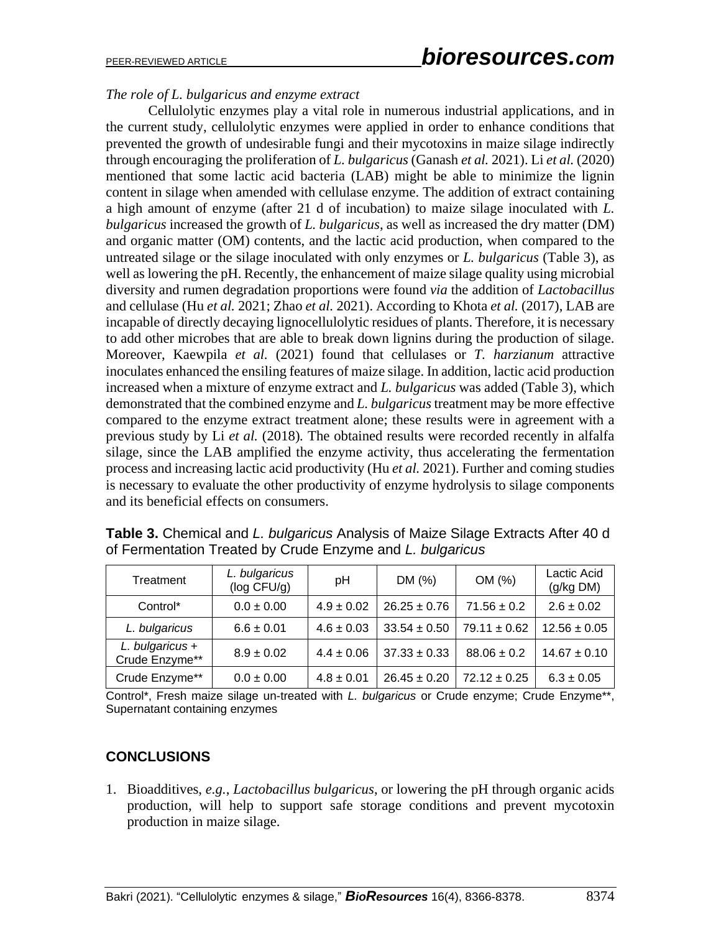#### *The role of L. bulgaricus and enzyme extract*

Cellulolytic enzymes play a vital role in numerous industrial applications, and in the current study, cellulolytic enzymes were applied in order to enhance conditions that prevented the growth of undesirable fungi and their mycotoxins in maize silage indirectly through encouraging the proliferation of *L. bulgaricus* (Ganash *et al.* 2021). Li *et al.* (2020) mentioned that some lactic acid bacteria (LAB) might be able to minimize the lignin content in silage when amended with cellulase enzyme. The addition of extract containing a high amount of enzyme (after 21 d of incubation) to maize silage inoculated with *L. bulgaricus* increased the growth of *L. bulgaricus*, as well as increased the dry matter (DM) and organic matter (OM) contents, and the lactic acid production, when compared to the untreated silage or the silage inoculated with only enzymes or *L. bulgaricus* (Table 3), as well as lowering the pH. Recently, the enhancement of maize silage quality using microbial diversity and rumen degradation proportions were found *via* the addition of *Lactobacillus* and cellulase (Hu *et al.* 2021; Zhao *et al.* 2021). According to Khota *et al.* (2017), LAB are incapable of directly decaying lignocellulolytic residues of plants. Therefore, it is necessary to add other microbes that are able to break down lignins during the production of silage. Moreover, Kaewpila *et al.* (2021) found that cellulases or *T. harzianum* attractive inoculates enhanced the ensiling features of maize silage. In addition, lactic acid production increased when a mixture of enzyme extract and *L. bulgaricus* was added (Table 3), which demonstrated that the combined enzyme and *L. bulgaricus* treatment may be more effective compared to the enzyme extract treatment alone; these results were in agreement with a previous study by Li *et al.* (2018)*.* The obtained results were recorded recently in alfalfa silage, since the LAB amplified the enzyme activity, thus accelerating the fermentation process and increasing lactic acid productivity (Hu *et al.* 2021). Further and coming studies is necessary to evaluate the other productivity of enzyme hydrolysis to silage components and its beneficial effects on consumers.

| Treatment                         | L. bulgaricus<br>(log CFU/g) | pH             | DM(%)            | OM (%)           | Lactic Acid<br>(g/kg DM) |
|-----------------------------------|------------------------------|----------------|------------------|------------------|--------------------------|
| Control*                          | $0.0 \pm 0.00$               | $4.9 \pm 0.02$ | $26.25 \pm 0.76$ | $71.56 \pm 0.2$  | $2.6 \pm 0.02$           |
| L. bulgaricus                     | $6.6 \pm 0.01$               | $4.6 \pm 0.03$ | $33.54 \pm 0.50$ | $79.11 \pm 0.62$ | $12.56 \pm 0.05$         |
| L. bulgaricus +<br>Crude Enzyme** | $8.9 \pm 0.02$               | $4.4 \pm 0.06$ | $37.33 \pm 0.33$ | $88.06 \pm 0.2$  | $14.67 \pm 0.10$         |
| Crude Enzyme**                    | $0.0 \pm 0.00$               | $4.8 \pm 0.01$ | $26.45 \pm 0.20$ | $72.12 \pm 0.25$ | $6.3 \pm 0.05$           |

**Table 3.** Chemical and *L. bulgaricus* Analysis of Maize Silage Extracts After 40 d of Fermentation Treated by Crude Enzyme and *L. bulgaricus*

Control\*, Fresh maize silage un-treated with *L. bulgaricus* or Crude enzyme; Crude Enzyme\*\*, Supernatant containing enzymes

## **CONCLUSIONS**

1. Bioadditives, *e.g.*, *Lactobacillus bulgaricus*, or lowering the pH through organic acids production, will help to support safe storage conditions and prevent mycotoxin production in maize silage.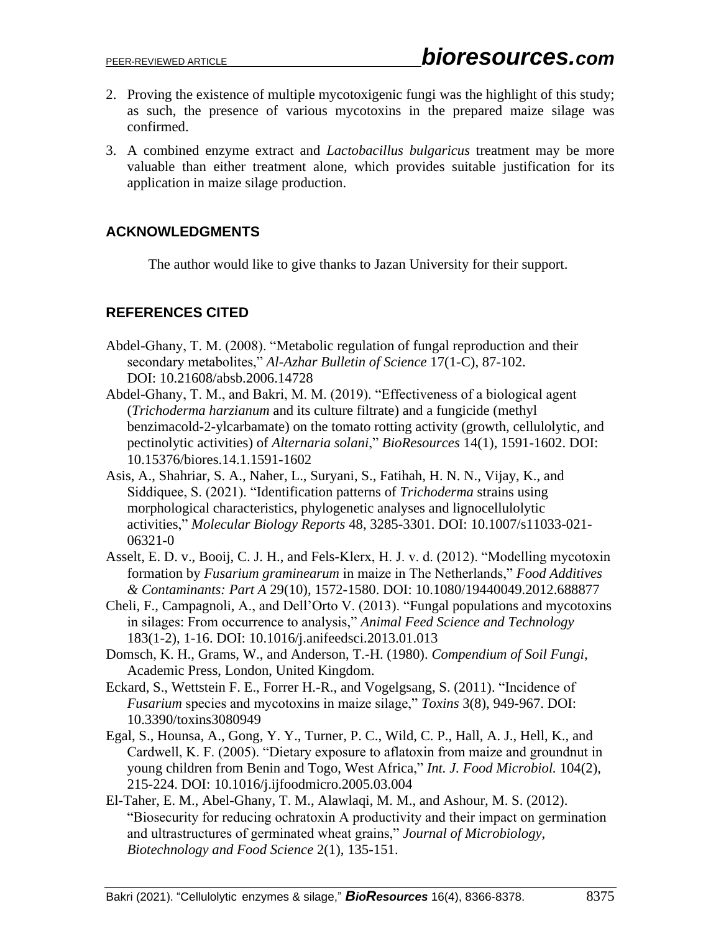- 2. Proving the existence of multiple mycotoxigenic fungi was the highlight of this study; as such, the presence of various mycotoxins in the prepared maize silage was confirmed.
- 3. A combined enzyme extract and *Lactobacillus bulgaricus* treatment may be more valuable than either treatment alone, which provides suitable justification for its application in maize silage production.

## **ACKNOWLEDGMENTS**

The author would like to give thanks to Jazan University for their support.

## **REFERENCES CITED**

- Abdel-Ghany, T. M. (2008). "Metabolic regulation of fungal reproduction and their secondary metabolites," *Al-Azhar Bulletin of Science* 17(1-C), 87-102. DOI: 10.21608/absb.2006.14728
- Abdel-Ghany, T. M., and Bakri, M. M. (2019). "Effectiveness of a biological agent (*Trichoderma harzianum* and its culture filtrate) and a fungicide (methyl benzimacold-2-ylcarbamate) on the tomato rotting activity (growth, cellulolytic, and pectinolytic activities) of *Alternaria solani*," *BioResources* 14(1), 1591-1602. DOI: 10.15376/biores.14.1.1591-1602
- Asis, A., Shahriar, S. A., Naher, L., Suryani, S., Fatihah, H. N. N., Vijay, K., and Siddiquee, S. (2021). "Identification patterns of *Trichoderma* strains using morphological characteristics, phylogenetic analyses and lignocellulolytic activities," *Molecular Biology Reports* 48, 3285-3301. DOI: 10.1007/s11033-021- 06321-0
- Asselt, E. D. v., Booij, C. J. H., and Fels-Klerx, H. J. v. d. (2012). "Modelling mycotoxin formation by *Fusarium graminearum* in maize in The Netherlands," *Food Additives & Contaminants: Part A* 29(10), 1572-1580. DOI: 10.1080/19440049.2012.688877
- Cheli, F., Campagnoli, A., and Dell'Orto V. (2013). "Fungal populations and mycotoxins in silages: From occurrence to analysis," *Animal Feed Science and Technology* 183(1-2), 1-16. DOI: 10.1016/j.anifeedsci.2013.01.013
- Domsch, K. H., Grams, W., and Anderson, T.-H. (1980). *Compendium of Soil Fungi*, Academic Press, London, United Kingdom.
- Eckard, S., Wettstein F. E., Forrer H.-R., and Vogelgsang, S. (2011). "Incidence of *Fusarium* species and mycotoxins in maize silage," *Toxins* 3(8), 949-967. DOI: 10.3390/toxins3080949
- Egal, S., Hounsa, A., Gong, Y. Y., Turner, P. C., Wild, C. P., Hall, A. J., Hell, K., and Cardwell, K. F. (2005). "Dietary exposure to aflatoxin from maize and groundnut in young children from Benin and Togo, West Africa," *Int. J. Food Microbiol.* 104(2), 215-224. DOI: 10.1016/j.ijfoodmicro.2005.03.004
- El-Taher, E. M., Abel-Ghany, T. M., Alawlaqi, M. M., and Ashour, M. S. (2012). "Biosecurity for reducing ochratoxin A productivity and their impact on germination and ultrastructures of germinated wheat grains," *Journal of Microbiology, Biotechnology and Food Science* 2(1), 135-151.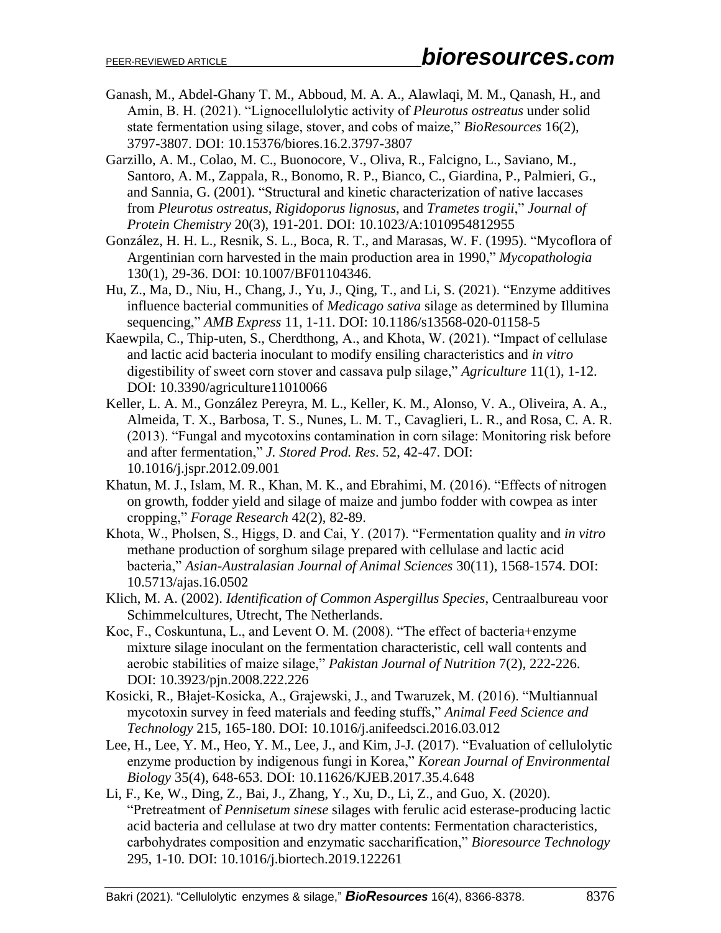- Ganash, M., Abdel-Ghany T. M., Abboud, M. A. A., Alawlaqi, M. M., Qanash, H., and Amin, B. H. (2021). "Lignocellulolytic activity of *Pleurotus ostreatus* under solid state fermentation using silage, stover, and cobs of maize," *BioResources* 16(2), 3797-3807. DOI: 10.15376/biores.16.2.3797-3807
- Garzillo, A. M., Colao, M. C., Buonocore, V., Oliva, R., Falcigno, L., Saviano, M., Santoro, A. M., Zappala, R., Bonomo, R. P., Bianco, C., Giardina, P., Palmieri, G., and Sannia, G. (2001). "Structural and kinetic characterization of native laccases from *Pleurotus ostreatus*, *Rigidoporus lignosus*, and *Trametes trogii*," *Journal of Protein Chemistry* 20(3), 191-201. DOI: 10.1023/A:1010954812955
- González, H. H. L., Resnik, S. L., Boca, R. T., and Marasas, W. F. (1995). "Mycoflora of Argentinian corn harvested in the main production area in 1990," *Mycopathologia* 130(1), 29-36. DOI: 10.1007/BF01104346.
- Hu, Z., Ma, D., Niu, H., Chang, J., Yu, J., Qing, T., and Li, S. (2021). "Enzyme additives influence bacterial communities of *Medicago sativa* silage as determined by Illumina sequencing," *AMB Express* 11, 1-11. DOI: 10.1186/s13568-020-01158-5
- Kaewpila, C., Thip-uten, S., Cherdthong, A., and Khota, W. (2021). "Impact of cellulase and lactic acid bacteria inoculant to modify ensiling characteristics and *in vitro* digestibility of sweet corn stover and cassava pulp silage," *Agriculture* 11(1), 1-12. DOI: 10.3390/agriculture11010066
- Keller, L. A. M., González Pereyra, M. L., Keller, K. M., Alonso, V. A., Oliveira, A. A., Almeida, T. X., Barbosa, T. S., Nunes, L. M. T., Cavaglieri, L. R., and Rosa, C. A. R. (2013). "Fungal and mycotoxins contamination in corn silage: Monitoring risk before and after fermentation," *J. Stored Prod. Res*. 52, 42-47. DOI: 10.1016/j.jspr.2012.09.001
- Khatun, M. J., Islam, M. R., Khan, M. K., and Ebrahimi, M. (2016). "Effects of nitrogen on growth, fodder yield and silage of maize and jumbo fodder with cowpea as inter cropping," *Forage Research* 42(2), 82-89.
- Khota, W., Pholsen, S., Higgs, D. and Cai, Y. (2017). "Fermentation quality and *in vitro*  methane production of sorghum silage prepared with cellulase and lactic acid bacteria," *Asian-Australasian Journal of Animal Sciences* 30(11), 1568-1574. DOI: 10.5713/ajas.16.0502
- Klich, M. A. (2002). *Identification of Common Aspergillus Species*, Centraalbureau voor Schimmelcultures, Utrecht, The Netherlands.
- Koc, F., Coskuntuna, L., and Levent O. M. (2008). "The effect of bacteria+enzyme mixture silage inoculant on the fermentation characteristic, cell wall contents and aerobic stabilities of maize silage," *Pakistan Journal of Nutrition* 7(2), 222-226. DOI: 10.3923/pjn.2008.222.226
- Kosicki, R., Błajet-Kosicka, A., Grajewski, J., and Twaruzek, M. (2016). "Multiannual mycotoxin survey in feed materials and feeding stuffs," *Animal Feed Science and Technology* 215, 165-180. DOI: 10.1016/j.anifeedsci.2016.03.012
- Lee, H., Lee, Y. M., Heo, Y. M., Lee, J., and Kim, J-J. (2017). "Evaluation of cellulolytic enzyme production by indigenous fungi in Korea," *Korean Journal of Environmental Biology* 35(4), 648-653. DOI: 10.11626/KJEB.2017.35.4.648
- Li, F., Ke, W., Ding, Z., Bai, J., Zhang, Y., Xu, D., Li, Z., and Guo, X. (2020). "Pretreatment of *Pennisetum sinese* silages with ferulic acid esterase-producing lactic acid bacteria and cellulase at two dry matter contents: Fermentation characteristics, carbohydrates composition and enzymatic saccharification," *Bioresource Technology*  295, 1-10. DOI: 10.1016/j.biortech.2019.122261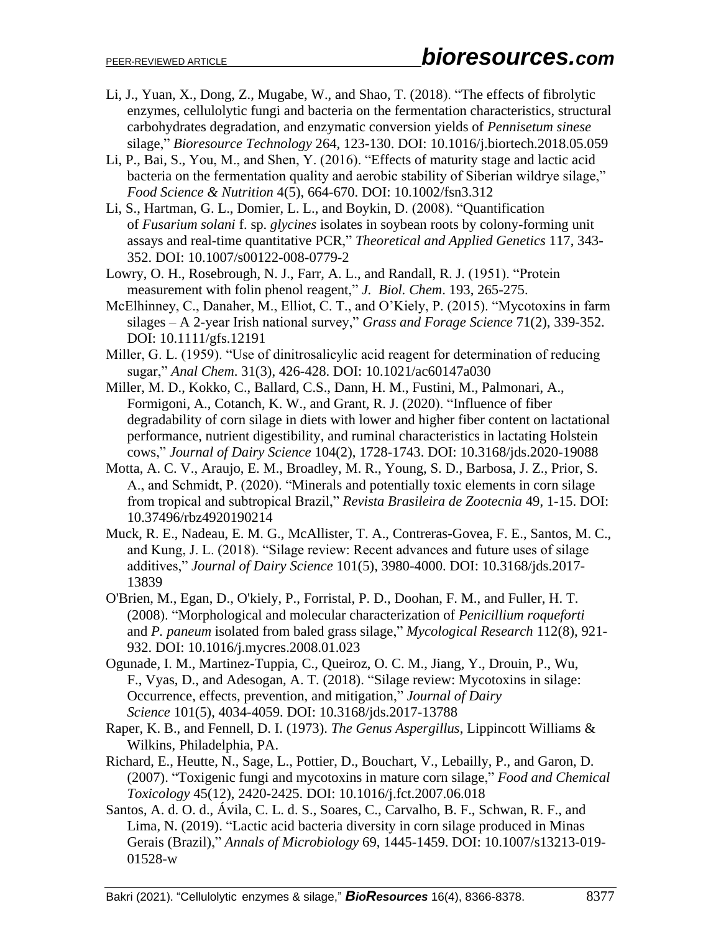- Li, J., Yuan, X., Dong, Z., Mugabe, W., and Shao, T. (2018). "The effects of fibrolytic enzymes, cellulolytic fungi and bacteria on the fermentation characteristics, structural carbohydrates degradation, and enzymatic conversion yields of *Pennisetum sinese* silage," *Bioresource Technology* 264, 123-130. DOI: 10.1016/j.biortech.2018.05.059
- Li, P., Bai, S., You, M., and Shen, Y. (2016). "Effects of maturity stage and lactic acid bacteria on the fermentation quality and aerobic stability of Siberian wildrye silage," *Food Science & Nutrition* 4(5), 664-670. DOI: 10.1002/fsn3.312
- Li, S., Hartman, G. L., Domier, L. L., and Boykin, D. (2008). "Quantification of *Fusarium solani* f. sp. *glycines* isolates in soybean roots by colony-forming unit assays and real-time quantitative PCR," *Theoretical and Applied Genetics* 117, 343- 352. DOI: 10.1007/s00122-008-0779-2
- Lowry, O. H., Rosebrough, N. J., Farr, A. L., and Randall, R. J. (1951). "Protein measurement with folin phenol reagent," *J. Biol. Chem*. 193, 265-275.
- McElhinney, C., Danaher, M., Elliot, C. T., and O'Kiely, P. (2015). "Mycotoxins in farm silages – A 2-year Irish national survey," *Grass and Forage Science* 71(2), 339-352. DOI: 10.1111/gfs.12191
- Miller, G. L. (1959). "Use of dinitrosalicylic acid reagent for determination of reducing sugar," *Anal Chem*. 31(3), 426-428. DOI: 10.1021/ac60147a030
- Miller, M. D., Kokko, C., Ballard, C.S., Dann, H. M., Fustini, M., Palmonari, A., Formigoni, A., Cotanch, K. W., and Grant, R. J. (2020). "Influence of fiber degradability of corn silage in diets with lower and higher fiber content on lactational performance, nutrient digestibility, and ruminal characteristics in lactating Holstein cows," *Journal of Dairy Science* 104(2), 1728-1743. DOI: 10.3168/jds.2020-19088
- Motta, A. C. V., Araujo, E. M., Broadley, M. R., Young, S. D., Barbosa, J. Z., Prior, S. A., and Schmidt, P. (2020). "Minerals and potentially toxic elements in corn silage from tropical and subtropical Brazil," *Revista Brasileira de Zootecnia* 49, 1-15. DOI: 10.37496/rbz4920190214
- Muck, R. E., Nadeau, E. M. G., McAllister, T. A., Contreras-Govea, F. E., Santos, M. C., and Kung, J. L. (2018). "Silage review: Recent advances and future uses of silage additives," *Journal of Dairy Science* 101(5), 3980-4000. DOI: 10.3168/jds.2017- 13839
- O'Brien, M., Egan, D., O'kiely, P., Forristal, P. D., Doohan, F. M., and Fuller, H. T. (2008). "Morphological and molecular characterization of *Penicillium roqueforti* and *P. paneum* isolated from baled grass silage," *Mycological Research* 112(8), 921- 932. DOI: 10.1016/j.mycres.2008.01.023
- Ogunade, I. M., Martinez-Tuppia, C., Queiroz, O. C. M., Jiang, Y., Drouin, P., Wu, F., Vyas, D., and Adesogan, A. T. (2018). "Silage review: Mycotoxins in silage: Occurrence, effects, prevention, and mitigation," *Journal of Dairy Science* 101(5), 4034-4059. DOI: 10.3168/jds.2017-13788
- Raper, K. B., and Fennell, D. I. (1973). *The Genus Aspergillus*, Lippincott Williams & Wilkins, Philadelphia, PA.
- Richard, E., Heutte, N., Sage, L., Pottier, D., Bouchart, V., Lebailly, P., and Garon, D. (2007). "Toxigenic fungi and mycotoxins in mature corn silage," *Food and Chemical Toxicology* 45(12), 2420-2425. DOI: 10.1016/j.fct.2007.06.018
- Santos, A. d. O. d., Ávila, C. L. d. S., Soares, C., Carvalho, B. F., Schwan, R. F., and Lima, N. (2019). "Lactic acid bacteria diversity in corn silage produced in Minas Gerais (Brazil)," *Annals of Microbiology* 69, 1445-1459. DOI: 10.1007/s13213-019- 01528-w